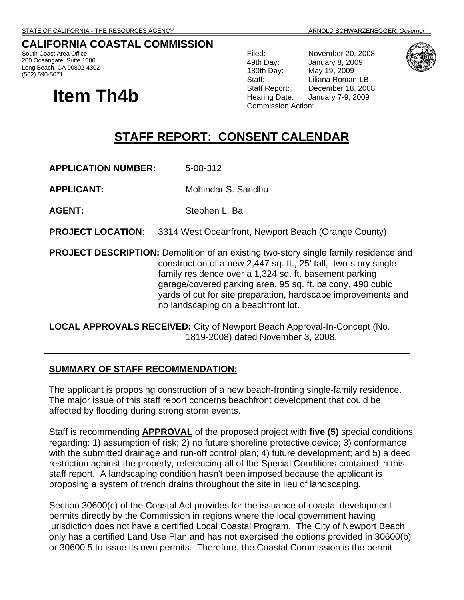## **CALIFORNIA COASTAL COMMISSION**

South Coast Area Office 200 Oceangate, Suite 1000 Long Beach, CA 90802-4302 (562) 590-5071

# **Item Th4b**

Filed: November 20, 2008 49th Day: January 8, 2009 180th Day: May 19, 2009 Staff: Liliana Roman-LB<br>Staff Report: December 18, 200 December 18, 2008 Hearing Date: January 7-9, 2009 Commission Action:



## **STAFF REPORT: CONSENT CALENDAR**

**APPLICATION NUMBER:** 5-08-312

**APPLICANT:** Mohindar S. Sandhu

**AGENT:** Stephen L. Ball

**PROJECT LOCATION:** 3314 West Oceanfront, Newport Beach (Orange County)

**PROJECT DESCRIPTION:** Demolition of an existing two-story single family residence and construction of a new 2,447 sq. ft., 25' tall, two-story single family residence over a 1,324 sq. ft. basement parking garage/covered parking area, 95 sq. ft. balcony, 490 cubic yards of cut for site preparation, hardscape improvements and no landscaping on a beachfront lot.

**LOCAL APPROVALS RECEIVED:** City of Newport Beach Approval-In-Concept (No. 1819-2008) dated November 3, 2008.

#### **SUMMARY OF STAFF RECOMMENDATION:**

The applicant is proposing construction of a new beach-fronting single-family residence. The major issue of this staff report concerns beachfront development that could be affected by flooding during strong storm events.

Staff is recommending **APPROVAL** of the proposed project with **five (5)** special conditions regarding: 1) assumption of risk; 2) no future shoreline protective device; 3) conformance with the submitted drainage and run-off control plan; 4) future development; and 5) a deed restriction against the property, referencing all of the Special Conditions contained in this staff report. A landscaping condition hasn't been imposed because the applicant is proposing a system of trench drains throughout the site in lieu of landscaping.

Section 30600(c) of the Coastal Act provides for the issuance of coastal development permits directly by the Commission in regions where the local government having jurisdiction does not have a certified Local Coastal Program. The City of Newport Beach only has a certified Land Use Plan and has not exercised the options provided in 30600(b) or 30600.5 to issue its own permits. Therefore, the Coastal Commission is the permit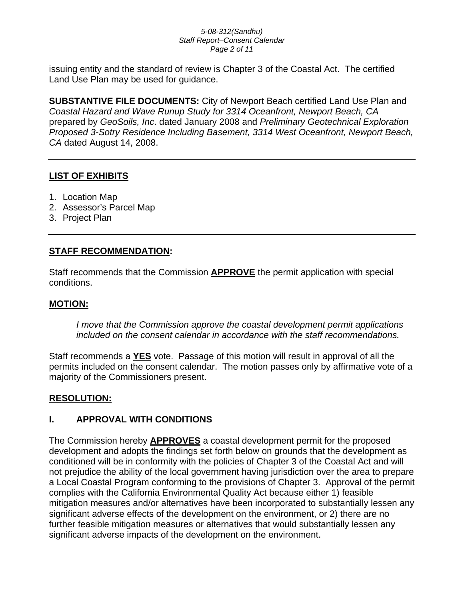#### *5-08-312(Sandhu) Staff Report–Consent Calendar Page 2 of 11*

issuing entity and the standard of review is Chapter 3 of the Coastal Act. The certified Land Use Plan may be used for guidance.

**SUBSTANTIVE FILE DOCUMENTS:** City of Newport Beach certified Land Use Plan and *Coastal Hazard and Wave Runup Study for 3314 Oceanfront, Newport Beach, CA* prepared by *GeoSoils, Inc*. dated January 2008 and *Preliminary Geotechnical Exploration Proposed 3-Sotry Residence Including Basement, 3314 West Oceanfront, Newport Beach, CA* dated August 14, 2008.

#### **LIST OF EXHIBITS**

- 1. Location Map
- 2. Assessor's Parcel Map
- 3. Project Plan

#### **STAFF RECOMMENDATION:**

Staff recommends that the Commission **APPROVE** the permit application with special conditions.

#### **MOTION:**

*I move that the Commission approve the coastal development permit applications included on the consent calendar in accordance with the staff recommendations.*

Staff recommends a **YES** vote. Passage of this motion will result in approval of all the permits included on the consent calendar. The motion passes only by affirmative vote of a majority of the Commissioners present.

## **RESOLUTION:**

#### **I. APPROVAL WITH CONDITIONS**

The Commission hereby **APPROVES** a coastal development permit for the proposed development and adopts the findings set forth below on grounds that the development as conditioned will be in conformity with the policies of Chapter 3 of the Coastal Act and will not prejudice the ability of the local government having jurisdiction over the area to prepare a Local Coastal Program conforming to the provisions of Chapter 3. Approval of the permit complies with the California Environmental Quality Act because either 1) feasible mitigation measures and/or alternatives have been incorporated to substantially lessen any significant adverse effects of the development on the environment, or 2) there are no further feasible mitigation measures or alternatives that would substantially lessen any significant adverse impacts of the development on the environment.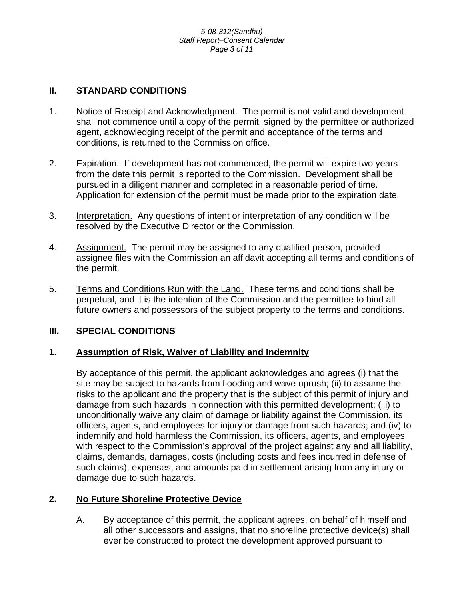#### **II. STANDARD CONDITIONS**

- 1. Notice of Receipt and Acknowledgment. The permit is not valid and development shall not commence until a copy of the permit, signed by the permittee or authorized agent, acknowledging receipt of the permit and acceptance of the terms and conditions, is returned to the Commission office.
- 2. Expiration. If development has not commenced, the permit will expire two years from the date this permit is reported to the Commission. Development shall be pursued in a diligent manner and completed in a reasonable period of time. Application for extension of the permit must be made prior to the expiration date.
- 3. Interpretation. Any questions of intent or interpretation of any condition will be resolved by the Executive Director or the Commission.
- 4. Assignment. The permit may be assigned to any qualified person, provided assignee files with the Commission an affidavit accepting all terms and conditions of the permit.
- 5. Terms and Conditions Run with the Land. These terms and conditions shall be perpetual, and it is the intention of the Commission and the permittee to bind all future owners and possessors of the subject property to the terms and conditions.

#### **III. SPECIAL CONDITIONS**

#### **1. Assumption of Risk, Waiver of Liability and Indemnity**

By acceptance of this permit, the applicant acknowledges and agrees (i) that the site may be subject to hazards from flooding and wave uprush; (ii) to assume the risks to the applicant and the property that is the subject of this permit of injury and damage from such hazards in connection with this permitted development; (iii) to unconditionally waive any claim of damage or liability against the Commission, its officers, agents, and employees for injury or damage from such hazards; and (iv) to indemnify and hold harmless the Commission, its officers, agents, and employees with respect to the Commission's approval of the project against any and all liability, claims, demands, damages, costs (including costs and fees incurred in defense of such claims), expenses, and amounts paid in settlement arising from any injury or damage due to such hazards.

#### **2. No Future Shoreline Protective Device**

A. By acceptance of this permit, the applicant agrees, on behalf of himself and all other successors and assigns, that no shoreline protective device(s) shall ever be constructed to protect the development approved pursuant to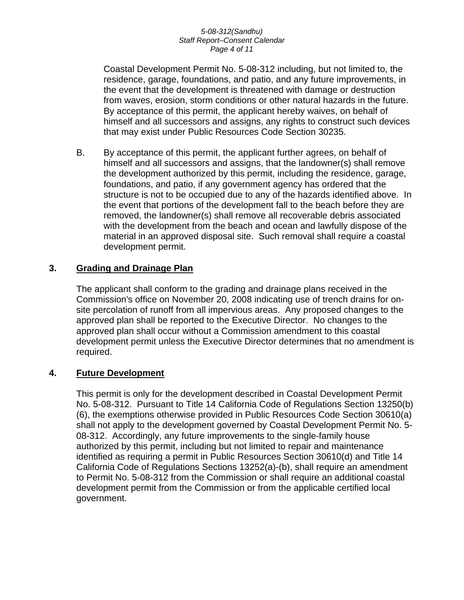#### *5-08-312(Sandhu) Staff Report–Consent Calendar Page 4 of 11*

Coastal Development Permit No. 5-08-312 including, but not limited to, the residence, garage, foundations, and patio, and any future improvements, in the event that the development is threatened with damage or destruction from waves, erosion, storm conditions or other natural hazards in the future. By acceptance of this permit, the applicant hereby waives, on behalf of himself and all successors and assigns, any rights to construct such devices that may exist under Public Resources Code Section 30235.

B. By acceptance of this permit, the applicant further agrees, on behalf of himself and all successors and assigns, that the landowner(s) shall remove the development authorized by this permit, including the residence, garage, foundations, and patio, if any government agency has ordered that the structure is not to be occupied due to any of the hazards identified above. In the event that portions of the development fall to the beach before they are removed, the landowner(s) shall remove all recoverable debris associated with the development from the beach and ocean and lawfully dispose of the material in an approved disposal site. Such removal shall require a coastal development permit.

#### **3. Grading and Drainage Plan**

The applicant shall conform to the grading and drainage plans received in the Commission's office on November 20, 2008 indicating use of trench drains for onsite percolation of runoff from all impervious areas. Any proposed changes to the approved plan shall be reported to the Executive Director. No changes to the approved plan shall occur without a Commission amendment to this coastal development permit unless the Executive Director determines that no amendment is required.

#### **4. Future Development**

This permit is only for the development described in Coastal Development Permit No. 5-08-312. Pursuant to Title 14 California Code of Regulations Section 13250(b) (6), the exemptions otherwise provided in Public Resources Code Section 30610(a) shall not apply to the development governed by Coastal Development Permit No. 5- 08-312. Accordingly, any future improvements to the single-family house authorized by this permit, including but not limited to repair and maintenance identified as requiring a permit in Public Resources Section 30610(d) and Title 14 California Code of Regulations Sections 13252(a)-(b), shall require an amendment to Permit No. 5-08-312 from the Commission or shall require an additional coastal development permit from the Commission or from the applicable certified local government.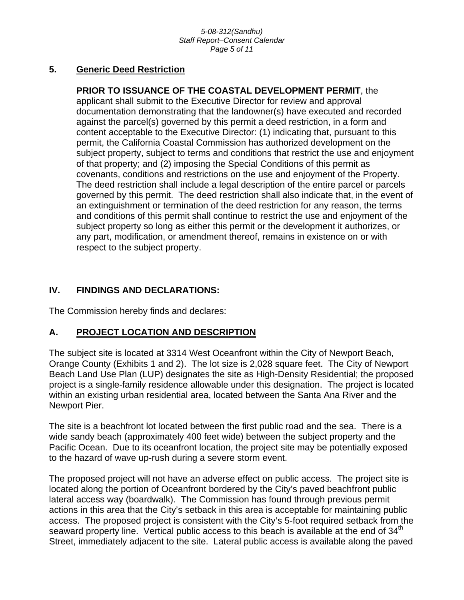#### **5. Generic Deed Restriction**

**PRIOR TO ISSUANCE OF THE COASTAL DEVELOPMENT PERMIT**, the applicant shall submit to the Executive Director for review and approval documentation demonstrating that the landowner(s) have executed and recorded against the parcel(s) governed by this permit a deed restriction, in a form and content acceptable to the Executive Director: (1) indicating that, pursuant to this permit, the California Coastal Commission has authorized development on the subject property, subject to terms and conditions that restrict the use and enjoyment of that property; and (2) imposing the Special Conditions of this permit as covenants, conditions and restrictions on the use and enjoyment of the Property. The deed restriction shall include a legal description of the entire parcel or parcels governed by this permit. The deed restriction shall also indicate that, in the event of an extinguishment or termination of the deed restriction for any reason, the terms and conditions of this permit shall continue to restrict the use and enjoyment of the subject property so long as either this permit or the development it authorizes, or any part, modification, or amendment thereof, remains in existence on or with respect to the subject property.

## **IV. FINDINGS AND DECLARATIONS:**

The Commission hereby finds and declares:

## **A. PROJECT LOCATION AND DESCRIPTION**

The subject site is located at 3314 West Oceanfront within the City of Newport Beach, Orange County (Exhibits 1 and 2). The lot size is 2,028 square feet. The City of Newport Beach Land Use Plan (LUP) designates the site as High-Density Residential; the proposed project is a single-family residence allowable under this designation. The project is located within an existing urban residential area, located between the Santa Ana River and the Newport Pier.

The site is a beachfront lot located between the first public road and the sea. There is a wide sandy beach (approximately 400 feet wide) between the subject property and the Pacific Ocean. Due to its oceanfront location, the project site may be potentially exposed to the hazard of wave up-rush during a severe storm event.

The proposed project will not have an adverse effect on public access. The project site is located along the portion of Oceanfront bordered by the City's paved beachfront public lateral access way (boardwalk). The Commission has found through previous permit actions in this area that the City's setback in this area is acceptable for maintaining public access. The proposed project is consistent with the City's 5-foot required setback from the seaward property line. Vertical public access to this beach is available at the end of 34<sup>th</sup> Street, immediately adjacent to the site. Lateral public access is available along the paved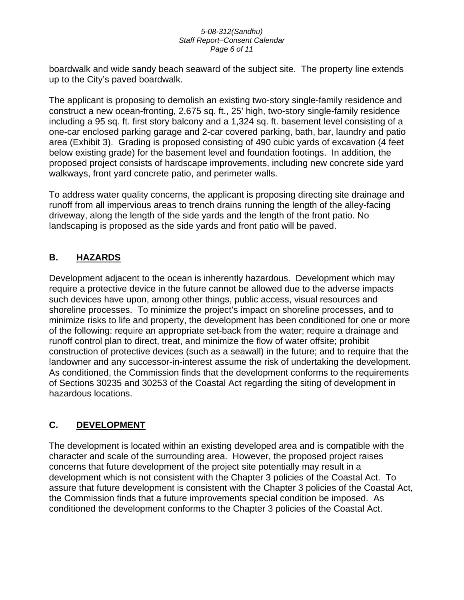#### *5-08-312(Sandhu) Staff Report–Consent Calendar Page 6 of 11*

boardwalk and wide sandy beach seaward of the subject site. The property line extends up to the City's paved boardwalk.

The applicant is proposing to demolish an existing two-story single-family residence and construct a new ocean-fronting, 2,675 sq. ft., 25' high, two-story single-family residence including a 95 sq. ft. first story balcony and a 1,324 sq. ft. basement level consisting of a one-car enclosed parking garage and 2-car covered parking, bath, bar, laundry and patio area (Exhibit 3). Grading is proposed consisting of 490 cubic yards of excavation (4 feet below existing grade) for the basement level and foundation footings. In addition, the proposed project consists of hardscape improvements, including new concrete side yard walkways, front yard concrete patio, and perimeter walls.

To address water quality concerns, the applicant is proposing directing site drainage and runoff from all impervious areas to trench drains running the length of the alley-facing driveway, along the length of the side yards and the length of the front patio. No landscaping is proposed as the side yards and front patio will be paved.

## **B. HAZARDS**

Development adjacent to the ocean is inherently hazardous. Development which may require a protective device in the future cannot be allowed due to the adverse impacts such devices have upon, among other things, public access, visual resources and shoreline processes. To minimize the project's impact on shoreline processes, and to minimize risks to life and property, the development has been conditioned for one or more of the following: require an appropriate set-back from the water; require a drainage and runoff control plan to direct, treat, and minimize the flow of water offsite; prohibit construction of protective devices (such as a seawall) in the future; and to require that the landowner and any successor-in-interest assume the risk of undertaking the development. As conditioned, the Commission finds that the development conforms to the requirements of Sections 30235 and 30253 of the Coastal Act regarding the siting of development in hazardous locations.

## **C. DEVELOPMENT**

The development is located within an existing developed area and is compatible with the character and scale of the surrounding area. However, the proposed project raises concerns that future development of the project site potentially may result in a development which is not consistent with the Chapter 3 policies of the Coastal Act. To assure that future development is consistent with the Chapter 3 policies of the Coastal Act, the Commission finds that a future improvements special condition be imposed. As conditioned the development conforms to the Chapter 3 policies of the Coastal Act.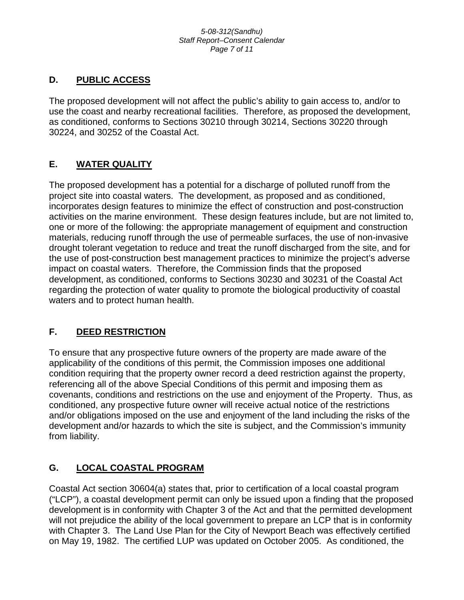## **D. PUBLIC ACCESS**

The proposed development will not affect the public's ability to gain access to, and/or to use the coast and nearby recreational facilities. Therefore, as proposed the development, as conditioned, conforms to Sections 30210 through 30214, Sections 30220 through 30224, and 30252 of the Coastal Act.

## **E. WATER QUALITY**

The proposed development has a potential for a discharge of polluted runoff from the project site into coastal waters. The development, as proposed and as conditioned, incorporates design features to minimize the effect of construction and post-construction activities on the marine environment. These design features include, but are not limited to, one or more of the following: the appropriate management of equipment and construction materials, reducing runoff through the use of permeable surfaces, the use of non-invasive drought tolerant vegetation to reduce and treat the runoff discharged from the site, and for the use of post-construction best management practices to minimize the project's adverse impact on coastal waters. Therefore, the Commission finds that the proposed development, as conditioned, conforms to Sections 30230 and 30231 of the Coastal Act regarding the protection of water quality to promote the biological productivity of coastal waters and to protect human health.

## **F. DEED RESTRICTION**

To ensure that any prospective future owners of the property are made aware of the applicability of the conditions of this permit, the Commission imposes one additional condition requiring that the property owner record a deed restriction against the property, referencing all of the above Special Conditions of this permit and imposing them as covenants, conditions and restrictions on the use and enjoyment of the Property. Thus, as conditioned, any prospective future owner will receive actual notice of the restrictions and/or obligations imposed on the use and enjoyment of the land including the risks of the development and/or hazards to which the site is subject, and the Commission's immunity from liability.

## **G. LOCAL COASTAL PROGRAM**

Coastal Act section 30604(a) states that, prior to certification of a local coastal program ("LCP"), a coastal development permit can only be issued upon a finding that the proposed development is in conformity with Chapter 3 of the Act and that the permitted development will not prejudice the ability of the local government to prepare an LCP that is in conformity with Chapter 3. The Land Use Plan for the City of Newport Beach was effectively certified on May 19, 1982. The certified LUP was updated on October 2005. As conditioned, the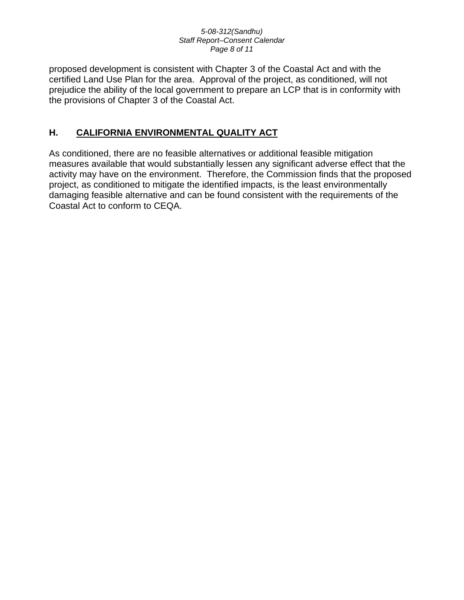#### *5-08-312(Sandhu) Staff Report–Consent Calendar Page 8 of 11*

proposed development is consistent with Chapter 3 of the Coastal Act and with the certified Land Use Plan for the area. Approval of the project, as conditioned, will not prejudice the ability of the local government to prepare an LCP that is in conformity with the provisions of Chapter 3 of the Coastal Act.

## **H. CALIFORNIA ENVIRONMENTAL QUALITY ACT**

As conditioned, there are no feasible alternatives or additional feasible mitigation measures available that would substantially lessen any significant adverse effect that the activity may have on the environment. Therefore, the Commission finds that the proposed project, as conditioned to mitigate the identified impacts, is the least environmentally damaging feasible alternative and can be found consistent with the requirements of the Coastal Act to conform to CEQA.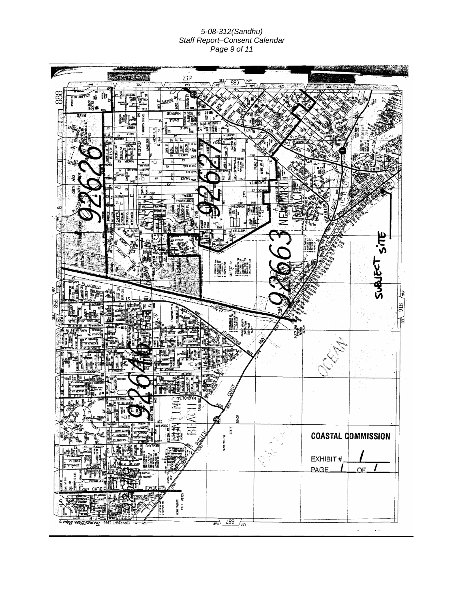#### *5-08-312(Sandhu) Staff Report–Consent Calendar Page 9 of 11*

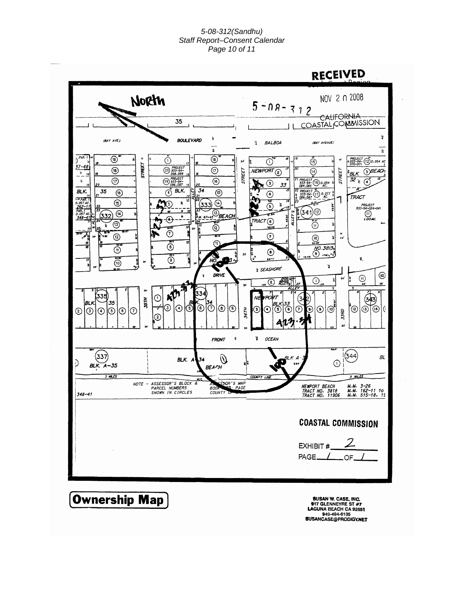#### *5-08-312(Sandhu) Staff Report–Consent Calendar Page 10 of 11*



949-494-6105<br>949-494-6105<br>SUSANCASE@PRODIGY.NET